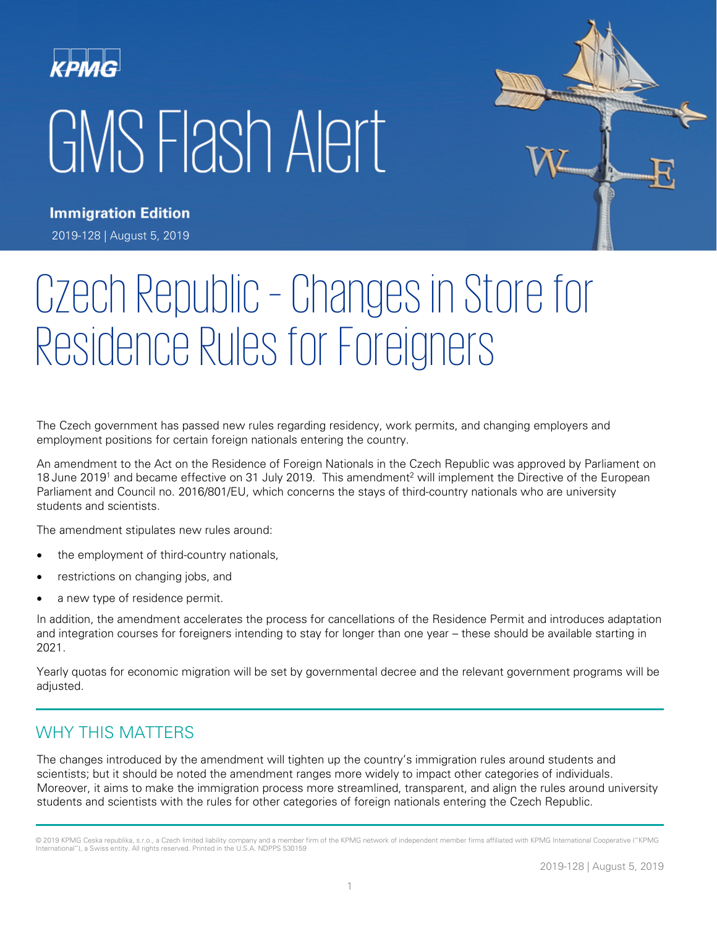# KPMG GMS Flash Alert



**Immigration Edition** 2019-128 | August 5, 2019

# Czech Republic – Changes in Store for Residence Rules for Foreigners

The Czech government has passed new rules regarding residency, work permits, and changing employers and employment positions for certain foreign nationals entering the country.

An amendment to the Act on the Residence of Foreign Nationals in the Czech Republic was approved by Parliament on 18 June 2019<sup>1</sup> and became effective on 31 July 2019. This amendment<sup>2</sup> will implement the Directive of the European Parliament and Council no. 2016/801/EU, which concerns the stays of third-country nationals who are university students and scientists.

The amendment stipulates new rules around:

- the employment of third-country nationals,
- restrictions on changing jobs, and
- a new type of residence permit.

In addition, the amendment accelerates the process for cancellations of the Residence Permit and introduces adaptation and integration courses for foreigners intending to stay for longer than one year – these should be available starting in 2021.

Yearly quotas for economic migration will be set by governmental decree and the relevant government programs will be adjusted.

## WHY THIS MATTERS

The changes introduced by the amendment will tighten up the country's immigration rules around students and scientists; but it should be noted the amendment ranges more widely to impact other categories of individuals. Moreover, it aims to make the immigration process more streamlined, transparent, and align the rules around university students and scientists with the rules for other categories of foreign nationals entering the Czech Republic.

<sup>© 2019</sup> KPMG Ceska republika, s.r.o., a Czech limited liability company and a member firm of the KPMG network of independent member firms affiliated with KPMG International Cooperative ("KPMG International"), a Swiss entity. All rights reserved. Printed in the U.S.A. NDPPS 530159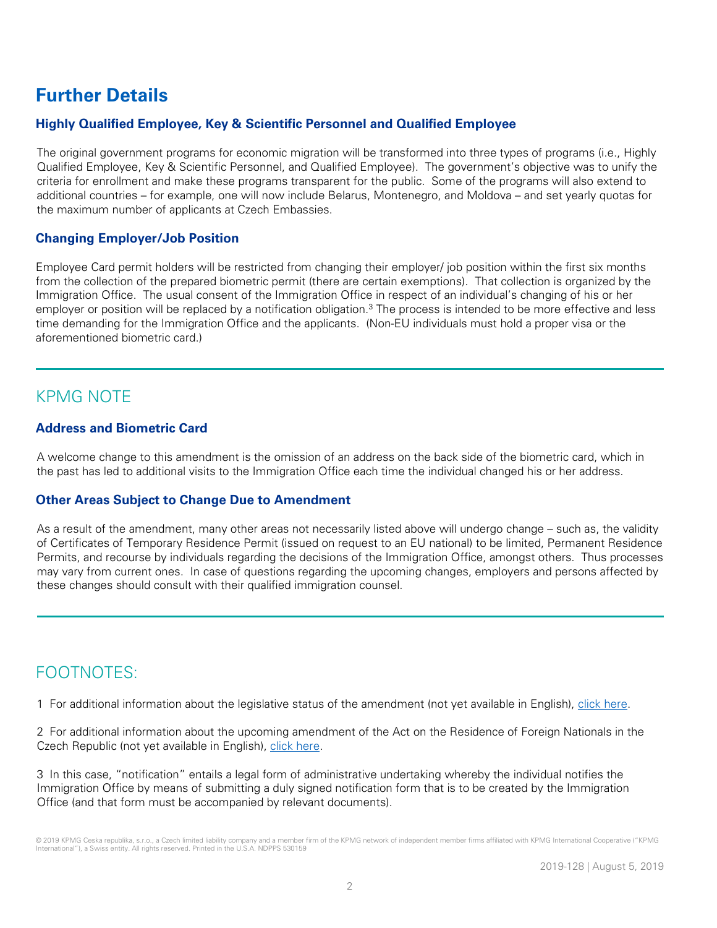# **Further Details**

#### **Highly Qualified Employee, Key & Scientific Personnel and Qualified Employee**

The original government programs for economic migration will be transformed into three types of programs (i.e., Highly Qualified Employee, Key & Scientific Personnel, and Qualified Employee). The government's objective was to unify the criteria for enrollment and make these programs transparent for the public. Some of the programs will also extend to additional countries – for example, one will now include Belarus, Montenegro, and Moldova – and set yearly quotas for the maximum number of applicants at Czech Embassies.

#### **Changing Employer/Job Position**

Employee Card permit holders will be restricted from changing their employer/ job position within the first six months from the collection of the prepared biometric permit (there are certain exemptions). That collection is organized by the Immigration Office. The usual consent of the Immigration Office in respect of an individual's changing of his or her employer or position will be replaced by a notification obligation.<sup>3</sup> The process is intended to be more effective and less time demanding for the Immigration Office and the applicants. (Non-EU individuals must hold a proper visa or the aforementioned biometric card.)

### KPMG NOTE

#### **Address and Biometric Card**

A welcome change to this amendment is the omission of an address on the back side of the biometric card, which in the past has led to additional visits to the Immigration Office each time the individual changed his or her address.

#### **Other Areas Subject to Change Due to Amendment**

As a result of the amendment, many other areas not necessarily listed above will undergo change – such as, the validity of Certificates of Temporary Residence Permit (issued on request to an EU national) to be limited, Permanent Residence Permits, and recourse by individuals regarding the decisions of the Immigration Office, amongst others. Thus processes may vary from current ones. In case of questions regarding the upcoming changes, employers and persons affected by these changes should consult with their qualified immigration counsel.

# FOOTNOTES:

1 For additional information about the legislative status of the amendment (not yet available in English), [click here.](http://public.psp.cz/en/sqw/historie.sqw?o=8&t=203)

2 For additional information about the upcoming amendment of the Act on the Residence of Foreign Nationals in the Czech Republic (not yet available in English), [click here.](https://www.mvcr.cz/clanek/poslanecka-snemovna-schvalila-novelu-zakona-o-pobytu-cizincu-pomuze-v-oblasti-bezpecnosti-i-ekonomiky.aspx)

3 In this case, "notification" entails a legal form of administrative undertaking whereby the individual notifies the Immigration Office by means of submitting a duly signed notification form that is to be created by the Immigration Office (and that form must be accompanied by relevant documents).

<sup>© 2019</sup> KPMG Ceska republika, s.r.o., a Czech limited liability company and a member firm of the KPMG network of independent member firms affiliated with KPMG International Cooperative ("KPMG International"), a Swiss entity. All rights reserved. Printed in the U.S.A. NDPPS 530159